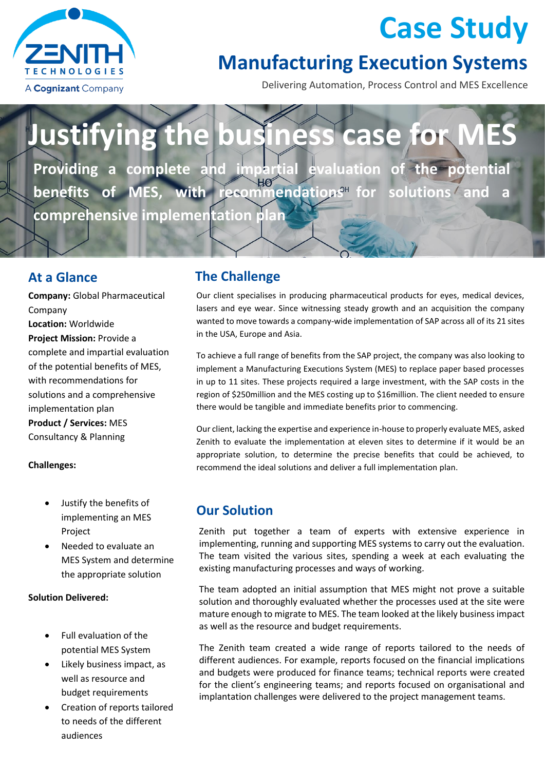

## **Case Study**

### **Manufacturing Execution Systems**

Delivering Automation, Process Control and MES Excellence

# **Justifying the business case for**

**Providing a complete and impartial evaluation of the potential benefits of MES, with recommendations<sup>H</sup> for solutions and comprehensive implementation plan**

**Company:** Global Pharmaceutical Company **Location:** Worldwide **Project Mission:** Provide a complete and impartial evaluation of the potential benefits of MES, with recommendations for solutions and a comprehensive implementation plan **Product / Services:** MES Consultancy & Planning

#### **Challenges:**

- Justify the benefits of implementing an MES Project
- Needed to evaluate an MES System and determine the appropriate solution

#### **Solution Delivered:**

- Full evaluation of the potential MES System
- Likely business impact, as well as resource and budget requirements
- Creation of reports tailored to needs of the different audiences

#### **At a Glance The Challenge**

Our client specialises in producing pharmaceutical products for eyes, medical devices, lasers and eye wear. Since witnessing steady growth and an acquisition the company wanted to move towards a company-wide implementation of SAP across all of its 21 sites in the USA, Europe and Asia.

To achieve a full range of benefits from the SAP project, the company was also looking to implement a Manufacturing Executions System (MES) to replace paper based processes in up to 11 sites. These projects required a large investment, with the SAP costs in the region of \$250million and the MES costing up to \$16million. The client needed to ensure there would be tangible and immediate benefits prior to commencing.

Our client, lacking the expertise and experience in-house to properly evaluate MES, asked Zenith to evaluate the implementation at eleven sites to determine if it would be an appropriate solution, to determine the precise benefits that could be achieved, to recommend the ideal solutions and deliver a full implementation plan.

#### **Our Solution**

Zenith put together a team of experts with extensive experience in implementing, running and supporting MES systems to carry out the evaluation. The team visited the various sites, spending a week at each evaluating the existing manufacturing processes and ways of working.

The team adopted an initial assumption that MES might not prove a suitable solution and thoroughly evaluated whether the processes used at the site were mature enough to migrate to MES. The team looked at the likely business impact as well as the resource and budget requirements.

The Zenith team created a wide range of reports tailored to the needs of different audiences. For example, reports focused on the financial implications and budgets were produced for finance teams; technical reports were created for the client's engineering teams; and reports focused on organisational and implantation challenges were delivered to the project management teams.